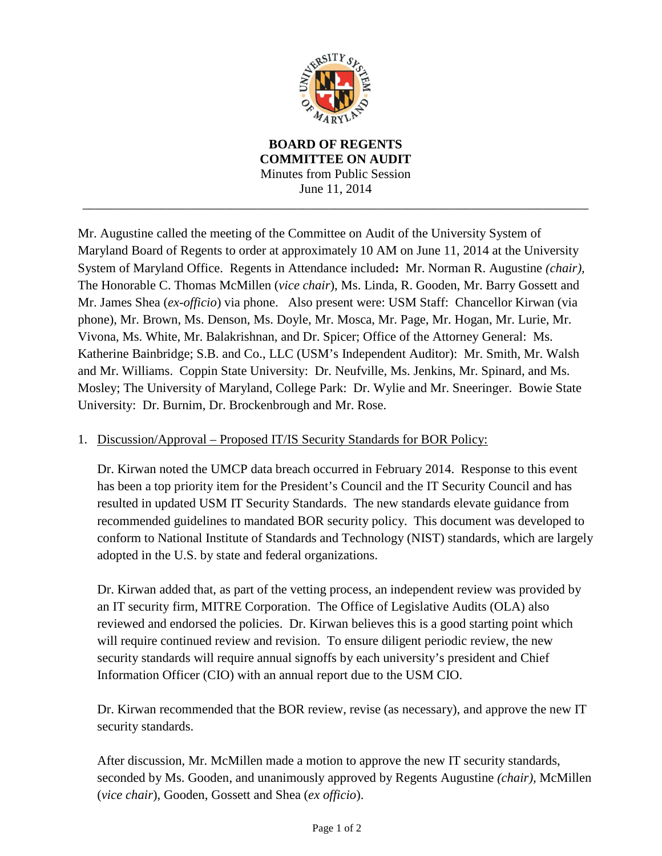

**BOARD OF REGENTS COMMITTEE ON AUDIT** Minutes from Public Session June 11, 2014

\_\_\_\_\_\_\_\_\_\_\_\_\_\_\_\_\_\_\_\_\_\_\_\_\_\_\_\_\_\_\_\_\_\_\_\_\_\_\_\_\_\_\_\_\_\_\_\_\_\_\_\_\_\_\_\_\_\_\_\_\_\_\_\_\_\_\_\_\_\_\_\_\_\_\_\_\_\_

Mr. Augustine called the meeting of the Committee on Audit of the University System of Maryland Board of Regents to order at approximately 10 AM on June 11, 2014 at the University System of Maryland Office. Regents in Attendance included**:** Mr. Norman R. Augustine *(chair),*  The Honorable C. Thomas McMillen (*vice chair*), Ms. Linda, R. Gooden, Mr. Barry Gossett and Mr. James Shea (*ex-officio*) via phone. Also present were: USM Staff: Chancellor Kirwan (via phone), Mr. Brown, Ms. Denson, Ms. Doyle, Mr. Mosca, Mr. Page, Mr. Hogan, Mr. Lurie, Mr. Vivona, Ms. White, Mr. Balakrishnan, and Dr. Spicer; Office of the Attorney General: Ms. Katherine Bainbridge; S.B. and Co., LLC (USM's Independent Auditor): Mr. Smith, Mr. Walsh and Mr. Williams. Coppin State University: Dr. Neufville, Ms. Jenkins, Mr. Spinard, and Ms. Mosley; The University of Maryland, College Park: Dr. Wylie and Mr. Sneeringer. Bowie State University: Dr. Burnim, Dr. Brockenbrough and Mr. Rose.

## 1. Discussion/Approval – Proposed IT/IS Security Standards for BOR Policy:

Dr. Kirwan noted the UMCP data breach occurred in February 2014. Response to this event has been a top priority item for the President's Council and the IT Security Council and has resulted in updated USM IT Security Standards. The new standards elevate guidance from recommended guidelines to mandated BOR security policy. This document was developed to conform to National Institute of Standards and Technology (NIST) standards, which are largely adopted in the U.S. by state and federal organizations.

Dr. Kirwan added that, as part of the vetting process, an independent review was provided by an IT security firm, MITRE Corporation. The Office of Legislative Audits (OLA) also reviewed and endorsed the policies. Dr. Kirwan believes this is a good starting point which will require continued review and revision. To ensure diligent periodic review, the new security standards will require annual signoffs by each university's president and Chief Information Officer (CIO) with an annual report due to the USM CIO.

Dr. Kirwan recommended that the BOR review, revise (as necessary), and approve the new IT security standards.

After discussion, Mr. McMillen made a motion to approve the new IT security standards, seconded by Ms. Gooden, and unanimously approved by Regents Augustine *(chair),* McMillen (*vice chair*), Gooden, Gossett and Shea (*ex officio*).